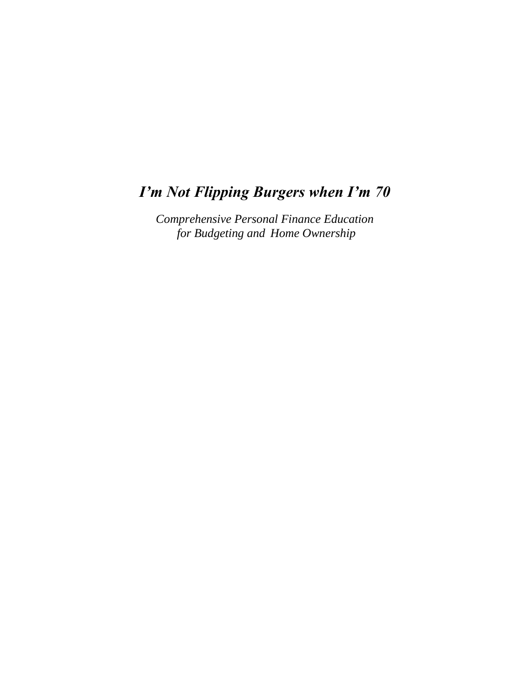## *I'm Not Flipping Burgers when I'm 70*

*Comprehensive Personal Finance Education for Budgeting and Home Ownership*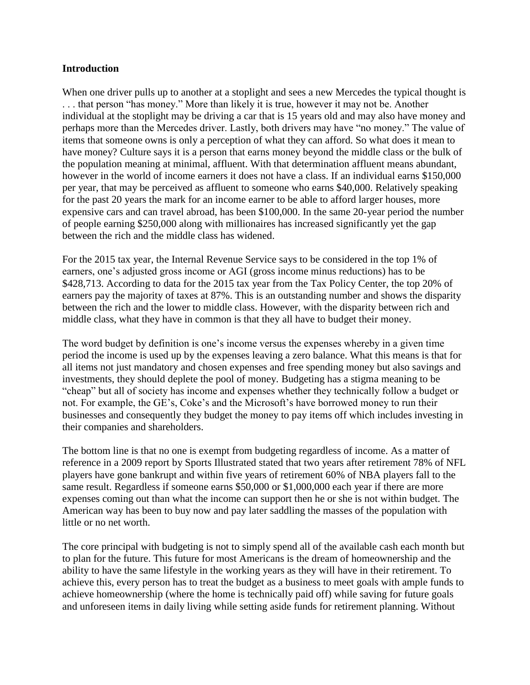## **Introduction**

When one driver pulls up to another at a stoplight and sees a new Mercedes the typical thought is . . . that person "has money." More than likely it is true, however it may not be. Another individual at the stoplight may be driving a car that is 15 years old and may also have money and perhaps more than the Mercedes driver. Lastly, both drivers may have "no money." The value of items that someone owns is only a perception of what they can afford. So what does it mean to have money? Culture says it is a person that earns money beyond the middle class or the bulk of the population meaning at minimal, affluent. With that determination affluent means abundant, however in the world of income earners it does not have a class. If an individual earns \$150,000 per year, that may be perceived as affluent to someone who earns \$40,000. Relatively speaking for the past 20 years the mark for an income earner to be able to afford larger houses, more expensive cars and can travel abroad, has been \$100,000. In the same 20-year period the number of people earning \$250,000 along with millionaires has increased significantly yet the gap between the rich and the middle class has widened.

For the 2015 tax year, the Internal Revenue Service says to be considered in the top 1% of earners, one's adjusted gross income or AGI (gross income minus reductions) has to be \$428,713. According to data for the 2015 tax year from the Tax Policy Center, the top 20% of earners pay the majority of taxes at 87%. This is an outstanding number and shows the disparity between the rich and the lower to middle class. However, with the disparity between rich and middle class, what they have in common is that they all have to budget their money.

The word budget by definition is one's income versus the expenses whereby in a given time period the income is used up by the expenses leaving a zero balance. What this means is that for all items not just mandatory and chosen expenses and free spending money but also savings and investments, they should deplete the pool of money. Budgeting has a stigma meaning to be "cheap" but all of society has income and expenses whether they technically follow a budget or not. For example, the GE's, Coke's and the Microsoft's have borrowed money to run their businesses and consequently they budget the money to pay items off which includes investing in their companies and shareholders.

The bottom line is that no one is exempt from budgeting regardless of income. As a matter of reference in a 2009 report by Sports Illustrated stated that two years after retirement 78% of NFL players have gone bankrupt and within five years of retirement 60% of NBA players fall to the same result. Regardless if someone earns \$50,000 or \$1,000,000 each year if there are more expenses coming out than what the income can support then he or she is not within budget. The American way has been to buy now and pay later saddling the masses of the population with little or no net worth.

The core principal with budgeting is not to simply spend all of the available cash each month but to plan for the future. This future for most Americans is the dream of homeownership and the ability to have the same lifestyle in the working years as they will have in their retirement. To achieve this, every person has to treat the budget as a business to meet goals with ample funds to achieve homeownership (where the home is technically paid off) while saving for future goals and unforeseen items in daily living while setting aside funds for retirement planning. Without